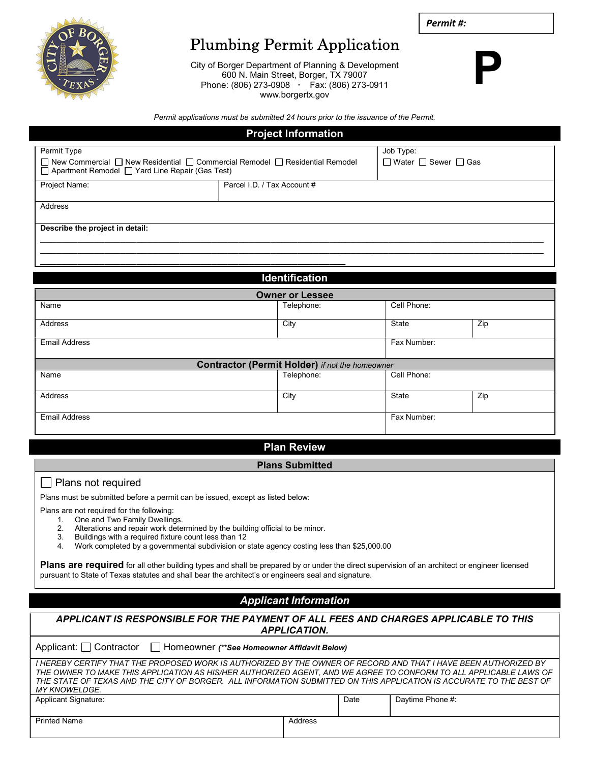

# Plumbing Permit Application

City of Borger Department of Planning & Development 600 N. Main Street, Borger, TX 79007 Phone: (806) 273-0908 · Fax: (806) 273-0911 www.borgertx.gov



P

Permit applications must be submitted 24 hours prior to the issuance of the Permit.

| <b>Project Information</b>                                                                                                                                            |                             |                                                   |  |  |  |
|-----------------------------------------------------------------------------------------------------------------------------------------------------------------------|-----------------------------|---------------------------------------------------|--|--|--|
| Permit Type<br>$\Box$ New Commercial $\Box$ New Residential $\Box$ Commercial Remodel $\Box$ Residential Remodel<br>□ Apartment Remodel □ Yard Line Repair (Gas Test) |                             | Job Type:<br>$\Box$ Water $\Box$ Sewer $\Box$ Gas |  |  |  |
| Project Name:                                                                                                                                                         | Parcel I.D. / Tax Account # |                                                   |  |  |  |
| Address                                                                                                                                                               |                             |                                                   |  |  |  |
| Describe the project in detail:                                                                                                                                       |                             |                                                   |  |  |  |
|                                                                                                                                                                       |                             |                                                   |  |  |  |
| <b>Identification</b>                                                                                                                                                 |                             |                                                   |  |  |  |

| <b>Owner or Lessee</b>                                 |            |              |     |  |  |  |
|--------------------------------------------------------|------------|--------------|-----|--|--|--|
| Name                                                   | Telephone: | Cell Phone:  |     |  |  |  |
| Address                                                | City       | <b>State</b> | Zip |  |  |  |
| <b>Email Address</b>                                   |            | Fax Number:  |     |  |  |  |
| <b>Contractor (Permit Holder)</b> if not the homeowner |            |              |     |  |  |  |
| Name                                                   | Telephone: | Cell Phone:  |     |  |  |  |
| Address                                                | City       | <b>State</b> | Zip |  |  |  |
| <b>Email Address</b>                                   |            | Fax Number:  |     |  |  |  |

### Plan Review

#### Plans Submitted

#### □ Plans not required

Plans must be submitted before a permit can be issued, except as listed below:

Plans are not required for the following:

- 1. One and Two Family Dwellings.<br>2. Alterations and repair work deter
	- Alterations and repair work determined by the building official to be minor.
	- 3. Buildings with a required fixture count less than 12
	- 4. Work completed by a governmental subdivision or state agency costing less than \$25,000.00

Plans are required for all other building types and shall be prepared by or under the direct supervision of an architect or engineer licensed pursuant to State of Texas statutes and shall bear the architect's or engineers seal and signature.

## Applicant Information

| APPLICANT IS RESPONSIBLE FOR THE PAYMENT OF ALL FEES AND CHARGES APPLICABLE TO THIS |
|-------------------------------------------------------------------------------------|
| <b>APPLICATION.</b>                                                                 |

| Applicant: Contractor Filmeowner (**See Homeowner Affidavit Below)                                                                                                                                                                                                                                                                                                                  |         |      |                  |  |  |
|-------------------------------------------------------------------------------------------------------------------------------------------------------------------------------------------------------------------------------------------------------------------------------------------------------------------------------------------------------------------------------------|---------|------|------------------|--|--|
| I HEREBY CERTIFY THAT THE PROPOSED WORK IS AUTHORIZED BY THE OWNER OF RECORD AND THAT I HAVE BEEN AUTHORIZED BY<br>THE OWNER TO MAKE THIS APPLICATION AS HIS/HER AUTHORIZED AGENT. AND WE AGREE TO CONFORM TO ALL APPLICABLE LAWS OF<br>THE STATE OF TEXAS AND THE CITY OF BORGER. ALL INFORMATION SUBMITTED ON THIS APPLICATION IS ACCURATE TO THE BEST OF<br><i>MY KNOWELDGE.</i> |         |      |                  |  |  |
| <b>Applicant Signature:</b>                                                                                                                                                                                                                                                                                                                                                         |         | Date | Daytime Phone #: |  |  |
| <b>Printed Name</b>                                                                                                                                                                                                                                                                                                                                                                 | Address |      |                  |  |  |